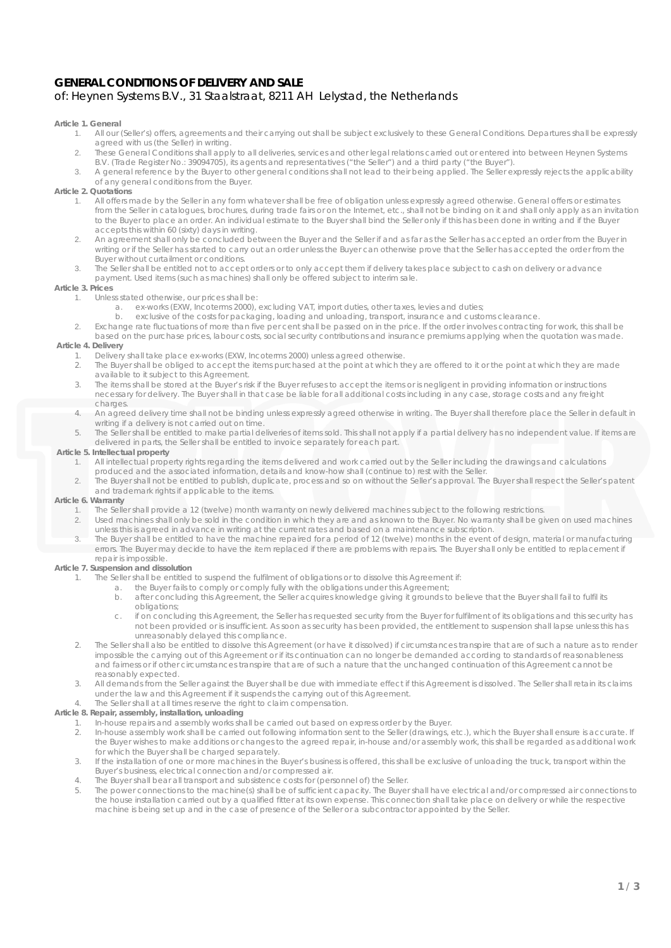# **GENERAL CONDITIONS OF DELIVERY AND SALE** of: Heynen Systems B.V., 31 Staalstraat, 8211 AH Lelystad, the Netherlands

### **Article 1. General**

- 1. All our (Seller's) offers, agreements and their carrying out shall be subject exclusively to these General Conditions. Departures shall be expressly agreed with us (the Seller) in writing.
- 2. These General Conditions shall apply to all deliveries, services and other legal relations carried out or entered into between Heynen Systems B.V. (Trade Register No.: 39094705), its agents and representatives ("the Seller") and a third party ("the Buyer").
- 3. A general reference by the Buyer to other general conditions shall not lead to their being applied. The Seller expressly rejects the applicability of any general conditions from the Buyer.

# **Article 2. Quotations**

- 1. All offers made by the Seller in any form whatever shall be free of obligation unless expressly agreed otherwise. General offers or estimates from the Seller in catalogues, brochures, during trade fairs or on the Internet, etc., shall not be binding on it and shall only apply as an invitation to the Buyer to place an order. An individual estimate to the Buyer shall bind the Seller only if this has been done in writing and if the Buyer accepts this within 60 (sixty) days in writing.
- 2. An agreement shall only be concluded between the Buyer and the Seller if and as far as the Seller has accepted an order from the Buyer in writing or if the Seller has started to carry out an order unless the Buyer can otherwise prove that the Seller has accepted the order from the Buyer without curtailment or conditions.
- 3. The Seller shall be entitled not to accept orders or to only accept them if delivery takes place subject to cash on delivery or advance payment. Used items (such as machines) shall only be offered subject to interim sale.

# **Article 3. Prices**

- 1. Unless stated otherwise, our prices shall be:
	- a. ex-works (EXW, Incoterms 2000), excluding VAT, import duties, other taxes, levies and duties;<br>b. exclusive of the costs for packaging Joading and unloading transport, insurance and custo
	- b. exclusive of the costs for packaging, loading and unloading, transport, insurance and customs clearance.
- 2. Exchange rate fluctuations of more than five per cent shall be passed on in the price. If the order involves contracting for work, this shall be based on the purchase prices, labour costs, social security contributions and insurance premiums applying when the quotation was made.

### **Article 4. Delivery**

- 1. Delivery shall take place ex-works (EXW, Incoterms 2000) unless agreed otherwise.
- 2. The Buyer shall be obliged to accept the items purchased at the point at which they are offered to it or the point at which they are made available to it subject to this Agreement.
- 3. The items shall be stored at the Buyer's risk if the Buyer refuses to accept the items or is negligent in providing information or instructions necessary for delivery. The Buyer shall in that case be liable for all additional costs including in any case, storage costs and any freight charges.
- 4. An agreed delivery time shall not be binding unless expressly agreed otherwise in writing. The Buyer shall therefore place the Seller in default in writing if a delivery is not carried out on time.
- 5. The Seller shall be entitled to make partial deliveries of items sold. This shall not apply if a partial delivery has no independent value. If items are delivered in parts, the Seller shall be entitled to invoice separately for each part.

#### **Article 5. Intellectual property**

- 1. All intellectual property rights regarding the items delivered and work carried out by the Seller including the drawings and calculations produced and the associated information, details and know-how shall (continue to) rest with the Seller.
- 2. The Buyer shall not be entitled to publish, duplicate, process and so on without the Seller's approval. The Buyer shall respect the Seller's patent and trademark rights if applicable to the items.

#### **Article 6. Warranty**

- 1. The Seller shall provide a 12 (twelve) month warranty on newly delivered machines subject to the following restrictions.
- 2. Used machines shall only be sold in the condition in which they are and as known to the Buyer. No warranty shall be given on used machines unless this is agreed in advance in writing at the current rates and based on a maintenance subscription.
- 3. The Buyer shall be entitled to have the machine repaired for a period of 12 (twelve) months in the event of design, material or manufacturing errors. The Buyer may decide to have the item replaced if there are problems with repairs. The Buyer shall only be entitled to replacement if repair is impossible.

### **Article 7. Suspension and dissolution**

- 1. The Seller shall be entitled to suspend the fulfilment of obligations or to dissolve this Agreement if:
	-
- a. the Buyer fails to comply or comply fully with the obligations under this Agreement;<br>b. after concluding this Agreement, the Seller acquires knowledge giving it grounds to b. after concluding this Agreement, the Seller acquires knowledge giving it grounds to believe that the Buyer shall fail to fulfil its obligations;
	- c. if on concluding this Agreement, the Seller has requested security from the Buyer for fulfilment of its obligations and this security has not been provided or is insufficient. As soon as security has been provided, the entitlement to suspension shall lapse unless this has unreasonably delayed this compliance.
- 2. The Seller shall also be entitled to dissolve this Agreement (or have it dissolved) if circumstances transpire that are of such a nature as to render impossible the carrying out of this Agreement or if its continuation can no longer be demanded according to standards of reasonableness and fairness or if other circumstances transpire that are of such a nature that the unchanged continuation of this Agreement cannot be reasonably expected.
- 3. All demands from the Seller against the Buyer shall be due with immediate effect if this Agreement is dissolved. The Seller shall retain its claims under the law and this Agreement if it suspends the carrying out of this Agreement.
- 4. The Seller shall at all times reserve the right to claim compensation.

#### **Article 8. Repair, assembly, installation, unloading**

- 1. In-house repairs and assembly works shall be carried out based on express order by the Buyer.<br>2. In-house assembly work shall be carried out following information sent to the Seller (drawings.
- 2. In-house assembly work shall be carried out following information sent to the Seller (drawings, etc.), which the Buyer shall ensure is accurate. If the Buyer wishes to make additions or changes to the agreed repair, in-house and/or assembly work, this shall be regarded as additional work for which the Buyer shall be charged separately.
- 3. If the installation of one or more machines in the Buyer's business is offered, this shall be exclusive of unloading the truck, transport within the Buyer's business, electrical connection and/or compressed air.
- 4. The Buyer shall bear all transport and subsistence costs for (personnel of) the Seller.
- 5. The power connections to the machine(s) shall be of sufficient capacity. The Buyer shall have electrical and/or compressed air connections to the house installation carried out by a qualified fitter at its own expense. This connection shall take place on delivery or while the respective machine is being set up and in the case of presence of the Seller or a subcontractor appointed by the Seller.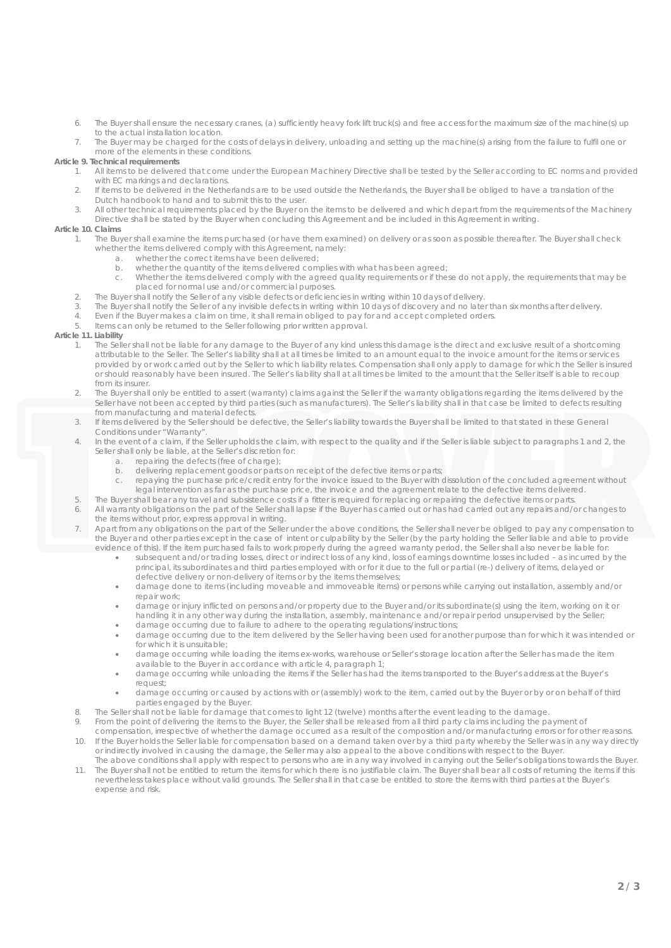- 6. The Buyer shall ensure the necessary cranes, (a) sufficiently heavy fork lift truck(s) and free access for the maximum size of the machine(s) up to the actual installation location.
- 7. The Buyer may be charged for the costs of delays in delivery, unloading and setting up the machine(s) arising from the failure to fulfil one or more of the elements in these conditions.

# **Article 9. Technical requirements**

- 1. All items to be delivered that come under the European Machinery Directive shall be tested by the Seller according to EC norms and provided with EC markings and declarations.
- 2. If items to be delivered in the Netherlands are to be used outside the Netherlands, the Buyer shall be obliged to have a translation of the Dutch handbook to hand and to submit this to the user.
- 3. All other technical requirements placed by the Buyer on the items to be delivered and which depart from the requirements of the Machinery Directive shall be stated by the Buyer when concluding this Agreement and be included in this Agreement in writing.

## **Article 10. Claims**

- 1. The Buyer shall examine the items purchased (or have them examined) on delivery or as soon as possible thereafter. The Buyer shall check whether the items delivered comply with this Agreement, namely:
	- a. whether the correct items have been delivered;
	- b. whether the quantity of the items delivered complies with what has been agreed;
	- c. Whether the items delivered comply with the agreed quality requirements or if these do not apply, the requirements that may be placed for normal use and/or commercial purposes.
- 2. The Buyer shall notify the Seller of any visible defects or deficiencies in writing within 10 days of delivery.<br>The Buyer shall notify the Seller of any invisible defects in writing within 10 days of discovery and no la
- 3. The Buyer shall notify the Seller of any invisible defects in writing within 10 days of discovery and no later than six months after delivery.<br>4. Even if the Buyer makes a claim on time, it shall remain obliged to pay f
- 4. Even if the Buyer makes a claim on time, it shall remain obliged to pay for and accept completed orders.<br>5. Items can only be returned to the Seller following prior written approval
- 5. Items can only be returned to the Seller following prior written approval.

### **Article 11. Liability**

- 1. The Seller shall not be liable for any damage to the Buyer of any kind unless this damage is the direct and exclusive result of a shortcoming attributable to the Seller. The Seller's liability shall at all times be limited to an amount equal to the invoice amount for the items or services provided by or work carried out by the Seller to which liability relates. Compensation shall only apply to damage for which the Seller is insured or should reasonably have been insured. The Seller's liability shall at all times be limited to the amount that the Seller itself is able to recoup from its insurer.
- 2. The Buyer shall only be entitled to assert (warranty) claims against the Seller if the warranty obligations regarding the items delivered by the Seller have not been accepted by third parties (such as manufacturers). The Seller's liability shall in that case be limited to defects resulting from manufacturing and material defects.
- 3. If items delivered by the Seller should be defective, the Seller's liability towards the Buyer shall be limited to that stated in these General Conditions under "Warranty".
- 4. In the event of a claim, if the Seller upholds the claim, with respect to the quality and if the Seller is liable subject to paragraphs 1 and 2, the Seller shall only be liable, at the Seller's discretion for:
	- a. repairing the defects (free of charge);
	- b. delivering replacement goods or parts on receipt of the defective items or parts;<br>c. repaying the purchase price/credit entry for the invoice issued to the Buyer with
	- repaying the purchase price/credit entry for the invoice issued to the Buyer with dissolution of the concluded agreement without legal intervention as far as the purchase price, the invoice and the agreement relate to the defective items delivered.
- 5. The Buyer shall bear any travel and subsistence costs if a fitter is required for replacing or repairing the defective items or parts.
- 6. All warranty obligations on the part of the Seller shall lapse if the Buyer has carried out or has had carried out any repairs and/or changes to the items without prior, express approval in writing.
- Apart from any obligations on the part of the Seller under the above conditions, the Seller shall never be obliged to pay any compensation to the Buyer and other parties except in the case of intent or culpability by the Seller (by the party holding the Seller liable and able to provide evidence of this). If the item purchased fails to work properly during the agreed warranty period, the Seller shall also never be liable for:
	- subsequent and/or trading losses, direct or indirect loss of any kind, loss of earnings downtime losses included as incurred by the principal, its subordinates and third parties employed with or for it due to the full or partial (re-) delivery of items, delayed or defective delivery or non-delivery of items or by the items themselves;
	- damage done to items (including moveable and immoveable items) or persons while carrying out installation, assembly and/or repair work;
	- damage or injury inflicted on persons and/or property due to the Buyer and/or its subordinate(s) using the item, working on it or handling it in any other way during the installation, assembly, maintenance and/or repair period unsupervised by the Seller;
	- damage occurring due to failure to adhere to the operating regulations/instructions;
	- damage occurring due to the item delivered by the Seller having been used for another purpose than for which it was intended or for which it is unsuitable;
	- damage occurring while loading the items ex-works, warehouse or Seller's storage location after the Seller has made the item available to the Buyer in accordance with article 4, paragraph 1;
	- damage occurring while unloading the items if the Seller has had the items transported to the Buyer's address at the Buyer's request;
	- damage occurring or caused by actions with or (assembly) work to the item, carried out by the Buyer or by or on behalf of third parties engaged by the Buyer.
- 8. The Seller shall not be liable for damage that comes to light 12 (twelve) months after the event leading to the damage.
- 9. From the point of delivering the items to the Buyer, the Seller shall be released from all third party claims including the payment of
- compensation, irrespective of whether the damage occurred as a result of the composition and/or manufacturing errors or for other reasons. 10. If the Buyer holds the Seller liable for compensation based on a demand taken over by a third party whereby the Seller was in any way directly or indirectly involved in causing the damage, the Seller may also appeal to the above conditions with respect to the Buyer.
- The above conditions shall apply with respect to persons who are in any way involved in carrying out the Seller's obligations towards the Buyer. 11. The Buyer shall not be entitled to return the items for which there is no justifiable claim. The Buyer shall bear all costs of returning the items if this nevertheless takes place without valid grounds. The Seller shall in that case be entitled to store the items with third parties at the Buyer's expense and risk.